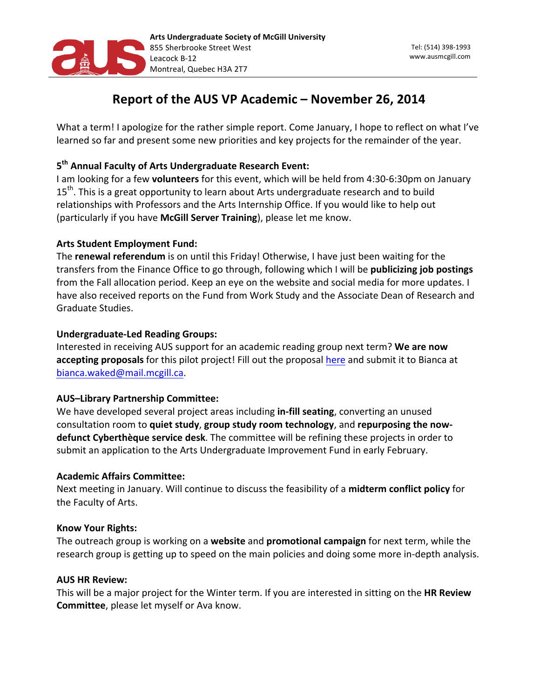

# Report of the AUS VP Academic - November 26, 2014

What a term! I apologize for the rather simple report. Come January, I hope to reflect on what I've learned so far and present some new priorities and key projects for the remainder of the year.

## 5<sup>th</sup> Annual Faculty of Arts Undergraduate Research Event:

I am looking for a few volunteers for this event, which will be held from 4:30-6:30pm on January 15<sup>th</sup>. This is a great opportunity to learn about Arts undergraduate research and to build relationships with Professors and the Arts Internship Office. If you would like to help out (particularly if you have McGill Server Training), please let me know.

## **Arts Student Employment Fund:**

The **renewal referendum** is on until this Friday! Otherwise, I have just been waiting for the transfers from the Finance Office to go through, following which I will be **publicizing job postings** from the Fall allocation period. Keep an eye on the website and social media for more updates. I have also received reports on the Fund from Work Study and the Associate Dean of Research and Graduate Studies.

## **Undergraduate-Led Reading Groups:**

Interested in receiving AUS support for an academic reading group next term? We are now accepting proposals for this pilot project! Fill out the proposal here and submit it to Bianca at bianca.waked@mail.mcgill.ca.

# **AUS-Library Partnership Committee:**

We have developed several project areas including in-fill seating, converting an unused consultation room to quiet study, group study room technology, and repurposing the now**defunct Cyberthèque service desk**. The committee will be refining these projects in order to submit an application to the Arts Undergraduate Improvement Fund in early February.

## **Academic Affairs Committee:**

Next meeting in January. Will continue to discuss the feasibility of a midterm conflict policy for the Faculty of Arts.

## **Know Your Rights:**

The outreach group is working on a **website** and **promotional campaign** for next term, while the research group is getting up to speed on the main policies and doing some more in-depth analysis.

## **AUS HR Review:**

This will be a major project for the Winter term. If you are interested in sitting on the **HR Review Committee**, please let myself or Ava know.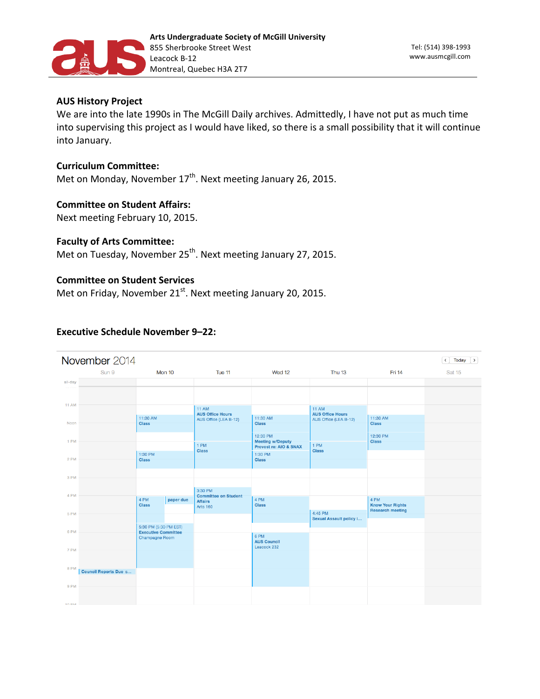

### **AUS History Project**

We are into the late 1990s in The McGill Daily archives. Admittedly, I have not put as much time into supervising this project as I would have liked, so there is a small possibility that it will continue into January.

#### **Curriculum 
 Committee:**

Met on Monday, November  $17<sup>th</sup>$ . Next meeting January 26, 2015.

#### **Committee on Student Affairs:**

Next meeting February 10, 2015.

#### **Faculty of Arts Committee:**

Met on Tuesday, November 25<sup>th</sup>. Next meeting January 27, 2015.

#### **Committee on Student Services**

Met on Friday, November  $21^{st}$ . Next meeting January 20, 2015.

#### **Executive Schedule November 9-22:**

| November 2014<br>Today<br>$\rightarrow$<br>$\overline{\phantom{a}}$ |                              |                            |           |                                         |                                                                   |                                         |                                 |        |  |  |
|---------------------------------------------------------------------|------------------------------|----------------------------|-----------|-----------------------------------------|-------------------------------------------------------------------|-----------------------------------------|---------------------------------|--------|--|--|
|                                                                     | Sun 9                        |                            | Mon 10    | Tue 11                                  | Wed 12                                                            | <b>Thu 13</b>                           | Fri 14                          | Sat 15 |  |  |
| all-day                                                             |                              |                            |           |                                         |                                                                   |                                         |                                 |        |  |  |
|                                                                     |                              |                            |           |                                         |                                                                   |                                         |                                 |        |  |  |
| <b>11 AM</b>                                                        |                              |                            |           |                                         |                                                                   |                                         |                                 |        |  |  |
|                                                                     |                              |                            |           | <b>11 AM</b><br><b>AUS Office Hours</b> |                                                                   | <b>11 AM</b><br><b>AUS Office Hours</b> |                                 |        |  |  |
| Noon                                                                |                              | 11:30 AM<br><b>Class</b>   |           | AUS Office (LEA B-12)                   | 11:30 AM<br><b>Class</b>                                          | AUS Office (LEA B-12)                   | 11:30 AM<br><b>Class</b>        |        |  |  |
|                                                                     |                              |                            |           |                                         |                                                                   |                                         |                                 |        |  |  |
| 1 PM                                                                |                              |                            |           |                                         | 12:30 PM<br>Meeting w/Deputy<br><b>Provost re: AIO &amp; SNAX</b> |                                         | 12:30 PM<br><b>Class</b>        |        |  |  |
|                                                                     |                              |                            |           | 1 PM<br><b>Class</b>                    |                                                                   | 1 PM<br><b>Class</b>                    |                                 |        |  |  |
| 2 PM                                                                |                              | 1:30 PM<br><b>Class</b>    |           |                                         | 1:30 PM<br><b>Class</b>                                           |                                         |                                 |        |  |  |
|                                                                     |                              |                            |           |                                         |                                                                   |                                         |                                 |        |  |  |
| 3 PM                                                                |                              |                            |           |                                         |                                                                   |                                         |                                 |        |  |  |
|                                                                     |                              |                            |           |                                         |                                                                   |                                         |                                 |        |  |  |
| 4 PM                                                                |                              |                            |           | 3:30 PM<br><b>Committee on Student</b>  |                                                                   |                                         |                                 |        |  |  |
|                                                                     |                              | 4 PM<br><b>Class</b>       | paper due | <b>Affairs</b><br><b>Arts 160</b>       | 4 PM<br><b>Class</b>                                              |                                         | 4 PM<br><b>Know Your Rights</b> |        |  |  |
| 5 PM                                                                |                              |                            |           |                                         |                                                                   | 4:45 PM                                 | <b>Research meeting</b>         |        |  |  |
|                                                                     |                              | 5:30 PM (5:30 PM EST)      |           |                                         |                                                                   | <b>Sexual Assault policy i</b>          |                                 |        |  |  |
| 6 PM                                                                |                              | <b>Executive Committee</b> |           |                                         | 6 PM                                                              |                                         |                                 |        |  |  |
|                                                                     |                              | Champagne Room             |           |                                         | <b>AUS Council</b>                                                |                                         |                                 |        |  |  |
| 7 PM                                                                |                              |                            |           |                                         | Leacock 232                                                       |                                         |                                 |        |  |  |
|                                                                     |                              |                            |           |                                         |                                                                   |                                         |                                 |        |  |  |
| 8 PM                                                                | <b>Council Reports Due s</b> |                            |           |                                         |                                                                   |                                         |                                 |        |  |  |
|                                                                     |                              |                            |           |                                         |                                                                   |                                         |                                 |        |  |  |
| 9 PM                                                                |                              |                            |           |                                         |                                                                   |                                         |                                 |        |  |  |
|                                                                     |                              |                            |           |                                         |                                                                   |                                         |                                 |        |  |  |
| <b>INC OF</b>                                                       |                              |                            |           |                                         |                                                                   |                                         |                                 |        |  |  |